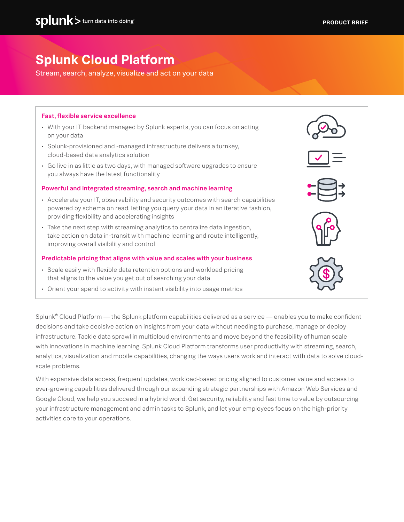# **Splunk Cloud Platform**

Stream, search, analyze, visualize and act on your data

### Fast, flexible service excellence

- With your IT backend managed by Splunk experts, you can focus on acting on your data
- Splunk-provisioned and -managed infrastructure delivers a turnkey, cloud-based data analytics solution
- Go live in as little as two days, with managed software upgrades to ensure you always have the latest functionality

#### Powerful and integrated streaming, search and machine learning

- Accelerate your IT, observability and security outcomes with search capabilities powered by schema on read, letting you query your data in an iterative fashion, providing flexibility and accelerating insights
- Take the next step with streaming analytics to centralize data ingestion, take action on data in-transit with machine learning and route intelligently, improving overall visibility and control

#### Predictable pricing that aligns with value and scales with your business

- Scale easily with flexible data retention options and workload pricing that aligns to the value you get out of searching your data
- Orient your spend to activity with instant visibility into usage metrics

Splunk® Cloud Platform — the Splunk platform capabilities delivered as a service — enables you to make confident decisions and take decisive action on insights from your data without needing to purchase, manage or deploy infrastructure. Tackle data sprawl in multicloud environments and move beyond the feasibility of human scale with innovations in machine learning. Splunk Cloud Platform transforms user productivity with streaming, search, analytics, visualization and mobile capabilities, changing the ways users work and interact with data to solve cloudscale problems.

With expansive data access, frequent updates, workload-based pricing aligned to customer value and access to ever-growing capabilities delivered through our expanding strategic partnerships with Amazon Web Services and Google Cloud, we help you succeed in a hybrid world. Get security, reliability and fast time to value by outsourcing your infrastructure management and admin tasks to Splunk, and let your employees focus on the high-priority activities core to your operations.

| $\vee$<br>$\equiv$                                                 |  |
|--------------------------------------------------------------------|--|
| $\ddot{\Xi}$                                                       |  |
| $\left\langle \left. \right\vert \left. \right\vert \right\rangle$ |  |
| 502                                                                |  |